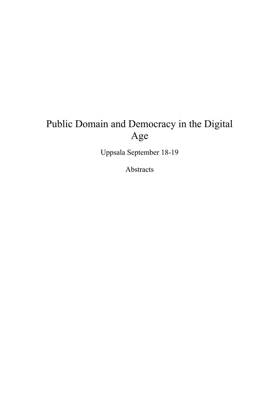# Public Domain and Democracy in the Digital Age

Uppsala September 18-19

Abstracts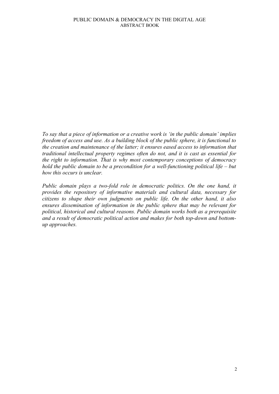*To say that a piece of information or a creative work is 'in the public domain' implies freedom of access and use. As a building block of the public sphere, it is functional to the creation and maintenance of the latter; it ensures eased access to information that traditional intellectual property regimes often do not, and it is cast as essential for the right to information. That is why most contemporary conceptions of democracy hold the public domain to be a precondition for a well-functioning political life – but how this occurs is unclear.* 

*Public domain plays a two-fold role in democratic politics. On the one hand, it provides the repository of informative materials and cultural data, necessary for citizens to shape their own judgments on public life. On the other hand, it also ensures dissemination of information in the public sphere that may be relevant for political, historical and cultural reasons. Public domain works both as a prerequisite and a result of democratic political action and makes for both top-down and bottomup approaches.*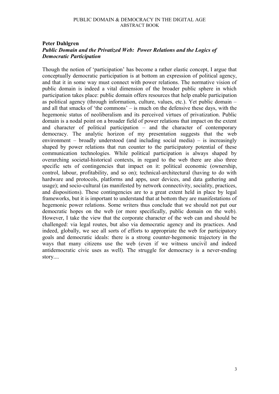## **Peter Dahlgren** *Public Domain and the Privatized Web: Power Relations and the Logics of Democratic Participation*

Though the notion of 'participation' has become a rather elastic concept, I argue that conceptually democratic participation is at bottom an expression of political agency, and that it in some way must connect with power relations. The normative vision of public domain is indeed a vital dimension of the broader public sphere in which participation takes place: public domain offers resources that help enable participation as political agency (through information, culture, values, etc.). Yet public domain – and all that smacks of 'the commons' – is much on the defensive these days, with the hegemonic status of neoliberalism and its perceived virtues of privatization. Public domain is a nodal point on a broader field of power relations that impact on the extent and character of political participation – and the character of contemporary democracy. The analytic horizon of my presentation suggests that the web environment – broadly understood (and including social media) – is increasingly shaped by power relations that run counter to the participatory potential of these communication technologies. While political participation is always shaped by overarching societal-historical contexts, in regard to the web there are also three specific sets of contingencies that impact on it: political economic (ownership, control, labour, profitability, and so on); technical-architectural (having to do with hardware and protocols, platforms and apps, user devices, and data gathering and usage); and socio-cultural (as manifested by network connectivity, sociality, practices, and dispositions). These contingencies are to a great extent held in place by legal frameworks, but it is important to understand that at bottom they are manifestations of hegemonic power relations. Some writers thus conclude that we should not put our democratic hopes on the web (or more specifically, public domain on the web). However, I take the view that the corporate character of the web can and should be challenged: via legal routes, but also via democratic agency and its practices. And indeed, globally, we see all sorts of efforts to appropriate the web for participatory goals and democratic ideals: there is a strong counter-hegemonic trajectory in the ways that many citizens use the web (even if we witness uncivil and indeed antidemocratic civic uses as well). The struggle for democracy is a never-ending story....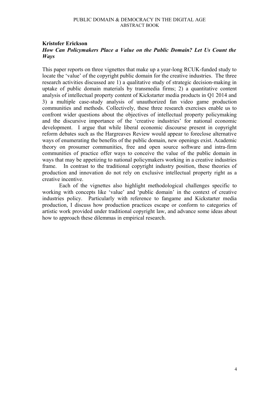## **Kristofer Erickson**  *How Can Policymakers Place a Value on the Public Domain? Let Us Count the Ways*

This paper reports on three vignettes that make up a year-long RCUK-funded study to locate the 'value' of the copyright public domain for the creative industries. The three research activities discussed are 1) a qualitative study of strategic decision-making in uptake of public domain materials by transmedia firms; 2) a quantitative content analysis of intellectual property content of Kickstarter media products in Q1 2014 and 3) a multiple case-study analysis of unauthorized fan video game production communities and methods. Collectively, these three research exercises enable us to confront wider questions about the objectives of intellectual property policymaking and the discursive importance of the 'creative industries' for national economic development. I argue that while liberal economic discourse present in copyright reform debates such as the Hargreaves Review would appear to foreclose alternative ways of enumerating the benefits of the public domain, new openings exist. Academic theory on prosumer communities, free and open source software and intra-firm communities of practice offer ways to conceive the value of the public domain in ways that may be appetizing to national policymakers working in a creative industries frame. In contrast to the traditional copyright industry position, these theories of production and innovation do not rely on exclusive intellectual property right as a creative incentive.

Each of the vignettes also highlight methodological challenges specific to working with concepts like 'value' and 'public domain' in the context of creative industries policy. Particularly with reference to fangame and Kickstarter media production, I discuss how production practices escape or conform to categories of artistic work provided under traditional copyright law, and advance some ideas about how to approach these dilemmas in empirical research.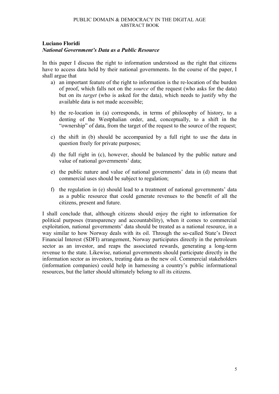## **Luciano Floridi**

#### *National Government's Data as a Public Resource*

In this paper I discuss the right to information understood as the right that citizens have to access data held by their national governments. In the course of the paper, I shall argue that

- a) an important feature of the right to information is the re-location of the burden of proof, which falls not on the *source* of the request (who asks for the data) but on its *target* (who is asked for the data), which needs to justify why the available data is not made accessible;
- b) the re-location in (a) corresponds, in terms of philosophy of history, to a denting of the Westphalian order, and, conceptually, to a shift in the "ownership" of data, from the target of the request to the source of the request;
- c) the shift in (b) should be accompanied by a full right to use the data in question freely for private purposes;
- d) the full right in (c), however, should be balanced by the public nature and value of national governments' data;
- e) the public nature and value of national governments' data in (d) means that commercial uses should be subject to regulation;
- f) the regulation in (e) should lead to a treatment of national governments' data as a public resource that could generate revenues to the benefit of all the citizens, present and future.

I shall conclude that, although citizens should enjoy the right to information for political purposes (transparency and accountability), when it comes to commercial exploitation, national governments' data should be treated as a national resource, in a way similar to how Norway deals with its oil. Through the so-called State's Direct Financial Interest (SDFI) arrangement, Norway participates directly in the petroleum sector as an investor, and reaps the associated rewards, generating a long-term revenue to the state. Likewise, national governments should participate directly in the information sector as investors, treating data as the new oil. Commercial stakeholders (information companies) could help in harnessing a country's public informational resources, but the latter should ultimately belong to all its citizens.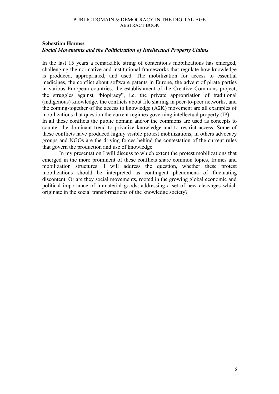## **Sebastian Haunss**  *Social Movements and the Politicization of Intellectual Property Claims*

In the last 15 years a remarkable string of contentious mobilizations has emerged, challenging the normative and institutional frameworks that regulate how knowledge is produced, appropriated, and used. The mobilization for access to essential medicines, the conflict about software patents in Europe, the advent of pirate parties in various European countries, the establishment of the Creative Commons project, the struggles against "biopiracy", i.e. the private appropriation of traditional (indigenous) knowledge, the conflicts about file sharing in peer-to-peer networks, and the coming-together of the access to knowledge (A2K) movement are all examples of mobilizations that question the current regimes governing intellectual property (IP). In all these conflicts the public domain and/or the commons are used as concepts to counter the dominant trend to privatize knowledge and to restrict access. Some of these conflicts have produced highly visible protest mobilizations, in others advocacy groups and NGOs are the driving forces behind the contestation of the current rules that govern the production and use of knowledge.

In my presentation I will discuss to which extent the protest mobilizations that emerged in the more prominent of these conflicts share common topics, frames and mobilization structures. I will address the question, whether these protest mobilizations should be interpreted as contingent phenomena of fluctuating discontent. Or are they social movements, rooted in the growing global economic and political importance of immaterial goods, addressing a set of new cleavages which originate in the social transformations of the knowledge society?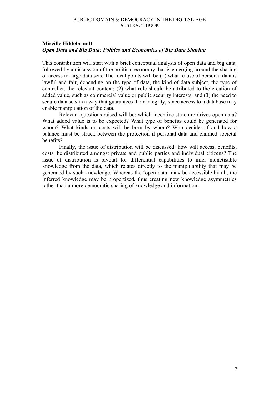## **Mireille Hildebrandt**  *Open Data and Big Data: Politics and Economics of Big Data Sharing*

This contribution will start with a brief conceptual analysis of open data and big data, followed by a discussion of the political economy that is emerging around the sharing of access to large data sets. The focal points will be (1) what re-use of personal data is lawful and fair, depending on the type of data, the kind of data subject, the type of controller, the relevant context; (2) what role should be attributed to the creation of added value, such as commercial value or public security interests; and (3) the need to secure data sets in a way that guarantees their integrity, since access to a database may enable manipulation of the data.

Relevant questions raised will be: which incentive structure drives open data? What added value is to be expected? What type of benefits could be generated for whom? What kinds on costs will be born by whom? Who decides if and how a balance must be struck between the protection if personal data and claimed societal benefits?

Finally, the issue of distribution will be discussed: how will access, benefits, costs, be distributed amongst private and public parties and individual citizens? The issue of distribution is pivotal for differential capabilities to infer monetisable knowledge from the data, which relates directly to the manipulability that may be generated by such knowledge. Whereas the 'open data' may be accessible by all, the inferred knowledge may be propertized, thus creating new knowledge asymmetries rather than a more democratic sharing of knowledge and information.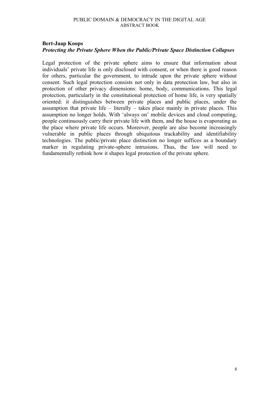## **Bert-Jaap Koops**  *Protecting the Private Sphere When the Public/Private Space Distinction Collapses*

Legal protection of the private sphere aims to ensure that information about individuals' private life is only disclosed with consent, or when there is good reason for others, particular the government, to intrude upon the private sphere without consent. Such legal protection consists not only in data protection law, but also in protection of other privacy dimensions: home, body, communications. This legal protection, particularly in the constitutional protection of home life, is very spatially oriented: it distinguishes between private places and public places, under the assumption that private life – literally – takes place mainly in private places. This assumption no longer holds. With 'always on' mobile devices and cloud computing, people continuously carry their private life with them, and the house is evaporating as the place where private life occurs. Moreover, people are also become increasingly vulnerable in public places through ubiquitous trackability and identifiability technologies. The public/private place distinction no longer suffices as a boundary marker in regulating private-sphere intrusions. Thus, the law will need to fundamentally rethink how it shapes legal protection of the private sphere.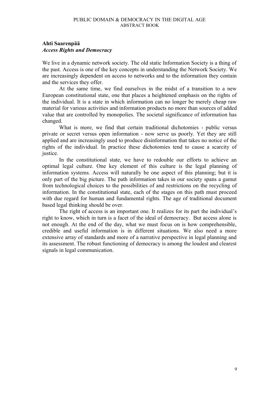## **Ahti Saarenpää**  *Access Rights and Democracy*

We live in a dynamic network society. The old static Information Society is a thing of the past. Access is one of the key concepts in understanding the Network Society. We are increasingly dependent on access to networks and to the information they contain and the services they offer.

At the same time, we find ourselves in the midst of a transition to a new European constitutional state, one that places a heightened emphasis on the rights of the individual. It is a state in which information can no longer be merely cheap raw material for various activities and information products no more than sources of added value that are controlled by monopolies. The societal significance of information has changed.

What is more, we find that certain traditional dichotomies - public versus private or secret versus open information - now serve us poorly. Yet they are still applied and are increasingly used to produce disinformation that takes no notice of the rights of the individual. In practice these dichotomies tend to cause a scarcity of justice.

In the constitutional state, we have to redouble our efforts to achieve an optimal legal culture. One key element of this culture is the legal planning of information systems. Access will naturally be one aspect of this planning; but it is only part of the big picture. The path information takes in our society spans a gamut from technological choices to the possibilities of and restrictions on the recycling of information. In the constitutional state, each of the stages on this path must proceed with due regard for human and fundamental rights. The age of traditional document based legal thinking should be over.

The right of access is an important one. It realizes for its part the individual's right to know, which in turn is a facet of the ideal of democracy. But access alone is not enough. At the end of the day, what we must focus on is how comprehensible, credible and useful information is in different situations. We also need a more extensive array of standards and more of a narrative perspective in legal planning and its assessment. The robust functioning of democracy is among the loudest and clearest signals in legal communication.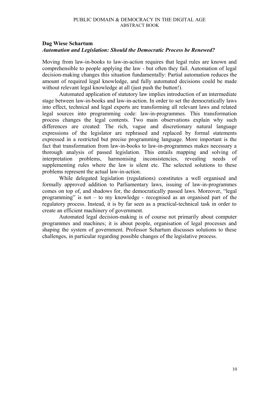## **Dag Wiese Schartum**  *Automation and Legislation: Should the Democratic Process be Renewed?*

Moving from law-in-books to law-in-action requires that legal rules are known and comprehensible to people applying the law - but often they fail. Automation of legal decision-making changes this situation fundamentally: Partial automation reduces the amount of required legal knowledge, and fully automated decisions could be made without relevant legal knowledge at all (just push the button!).

Automated application of statutory law implies introduction of an intermediate stage between law-in-books and law-in-action. In order to set the democratically laws into effect, technical and legal experts are transforming all relevant laws and related legal sources into programming code: law-in-programmes. This transformation process changes the legal contents. Two main observations explain why such differences are created: The rich, vague and discretionary natural language expressions of the legislator are rephrased and replaced by formal statements expressed in a restricted but precise programming language. More important is the fact that transformation from law-in-books to law-in-programmes makes necessary a thorough analysis of passed legislation. This entails mapping and solving of interpretation problems, harmonising inconsistencies, revealing needs of supplementing rules where the law is silent etc. The selected solutions to these problems represent the actual law-in-action.

While delegated legislation (regulations) constitutes a well organised and formally approved addition to Parliamentary laws, issuing of law-in-programmes comes on top of, and shadows for, the democratically passed laws. Moreover, "legal programming" is not – to my knowledge - recognised as an organised part of the regulatory process. Instead, it is by far seen as a practical-technical task in order to create an efficient machinery of government.

Automated legal decision-making is of course not primarily about computer programmes and machines; it is about people, organisation of legal processes and shaping the system of government. Professor Schartum discusses solutions to these challenges, in particular regarding possible changes of the legislative process.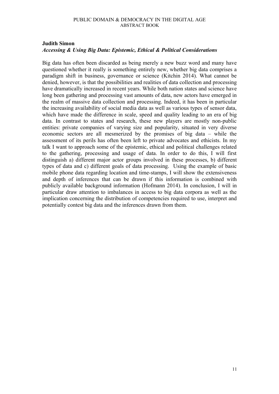# **Judith Simon**  *Accessing & Using Big Data: Epistemic, Ethical & Political Considerations*

Big data has often been discarded as being merely a new buzz word and many have questioned whether it really is something entirely new, whether big data comprises a paradigm shift in business, governance or science (Kitchin 2014). What cannot be denied, however, is that the possibilities and realities of data collection and processing have dramatically increased in recent years. While both nation states and science have long been gathering and processing vast amounts of data, new actors have emerged in the realm of massive data collection and processing. Indeed, it has been in particular the increasing availability of social media data as well as various types of sensor data, which have made the difference in scale, speed and quality leading to an era of big data. In contrast to states and research, these new players are mostly non-public entities: private companies of varying size and popularity, situated in very diverse economic sectors are all mesmerized by the promises of big data – while the assessment of its perils has often been left to private advocates and ethicists. In my talk I want to approach some of the epistemic, ethical and political challenges related to the gathering, processing and usage of data. In order to do this, I will first distinguish a) different major actor groups involved in these processes, b) different types of data and c) different goals of data processing. Using the example of basic mobile phone data regarding location and time-stamps, I will show the extensiveness and depth of inferences that can be drawn if this information is combined with publicly available background information (Hofmann 2014). In conclusion, I will in particular draw attention to imbalances in access to big data corpora as well as the implication concerning the distribution of competencies required to use, interpret and potentially contest big data and the inferences drawn from them.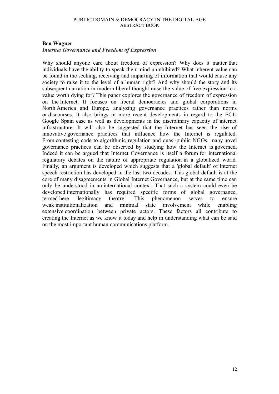#### **Ben Wagner**

#### *Internet Governance and Freedom of Expression*

Why should anyone care about freedom of expression? Why does it matter that individuals have the ability to speak their mind uninhibited? What inherent value can be found in the seeking, receiving and imparting of information that would cause any society to raise it to the level of a human right? And why should the story and its subsequent narration in modern liberal thought raise the value of free expression to a value worth dying for? This paper explores the governance of freedom of expression on the Internet. It focuses on liberal democracies and global corporations in North America and Europe, analyzing governance practices rather than norms or discourses. It also brings in more recent developments in regard to the ECJs Google Spain case as well as developments in the disciplinary capacity of internet infrastructure. It will also be suggested that the Internet has seen the rise of innovative governance practices that influence how the Internet is regulated. From contesting code to algorithmic regulation and quasi-public NGOs, many novel governance practices can be observed by studying how the Internet is governed. Indeed it can be argued that Internet Governance is itself a forum for international regulatory debates on the nature of appropriate regulation in a globalized world. Finally, an argument is developed which suggests that a 'global default' of Internet speech restriction has developed in the last two decades. This global default is at the core of many disagreements in Global Internet Governance, but at the same time can only be understood in an international context. That such a system could even be developed internationally has required specific forms of global governance, termed here 'legitimacy theatre.' This phenomenon serves to ensure weak institutionalization and minimal state involvement while enabling extensive coordination between private actors. These factors all contribute to creating the Internet as we know it today and help in understanding what can be said on the most important human communications platform.